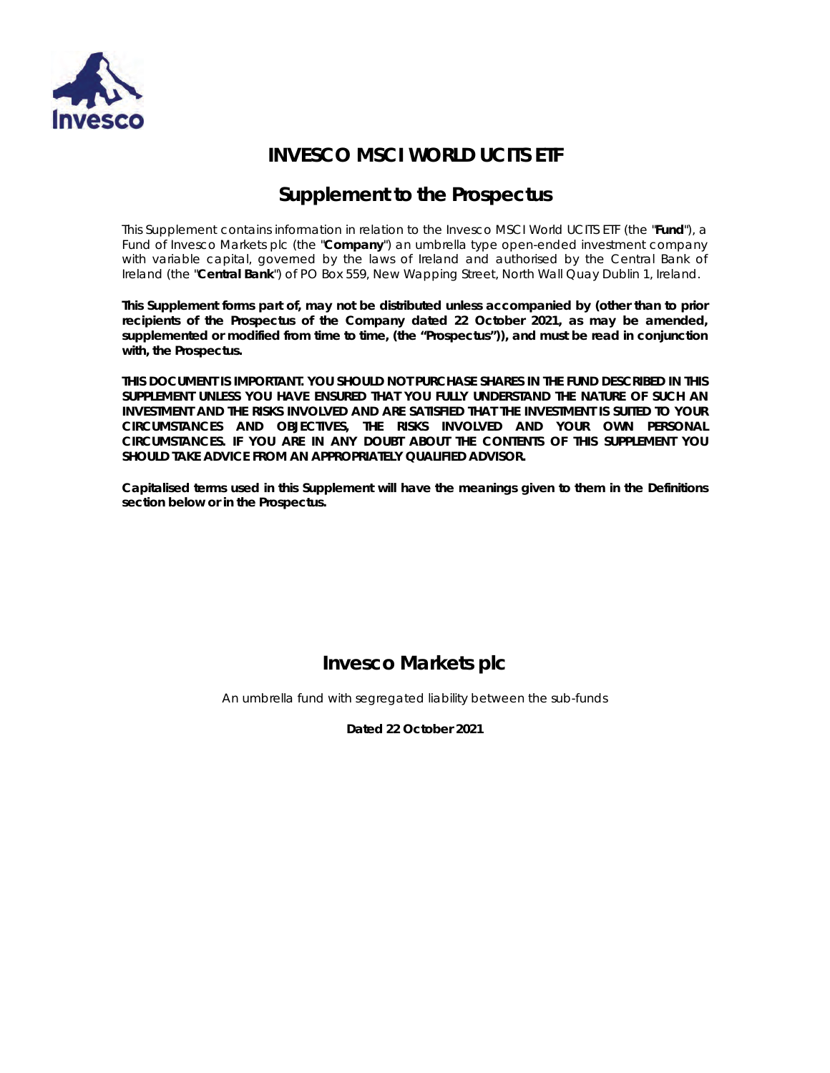

# **INVESCO MSCI WORLD UCITS ETF**

# **Supplement to the Prospectus**

This Supplement contains information in relation to the Invesco MSCI World UCITS ETF (the "**Fund**"), a Fund of Invesco Markets plc (the "**Company**") an umbrella type open-ended investment company with variable capital, governed by the laws of Ireland and authorised by the Central Bank of Ireland (the "**Central Bank**") of PO Box 559, New Wapping Street, North Wall Quay Dublin 1, Ireland.

**This Supplement forms part of, may not be distributed unless accompanied by (other than to prior recipients of the Prospectus of the Company dated 22 October 2021, as may be amended, supplemented or modified from time to time, (the "Prospectus")), and must be read in conjunction with, the Prospectus.** 

**THIS DOCUMENT IS IMPORTANT. YOU SHOULD NOT PURCHASE SHARES IN THE FUND DESCRIBED IN THIS SUPPLEMENT UNLESS YOU HAVE ENSURED THAT YOU FULLY UNDERSTAND THE NATURE OF SUCH AN INVESTMENT AND THE RISKS INVOLVED AND ARE SATISFIED THAT THE INVESTMENT IS SUITED TO YOUR CIRCUMSTANCES AND OBJECTIVES, THE RISKS INVOLVED AND YOUR OWN PERSONAL CIRCUMSTANCES. IF YOU ARE IN ANY DOUBT ABOUT THE CONTENTS OF THIS SUPPLEMENT YOU SHOULD TAKE ADVICE FROM AN APPROPRIATELY QUALIFIED ADVISOR.** 

**Capitalised terms used in this Supplement will have the meanings given to them in the Definitions section below or in the Prospectus.** 

# **Invesco Markets plc**

An umbrella fund with segregated liability between the sub-funds

**Dated 22 October 2021**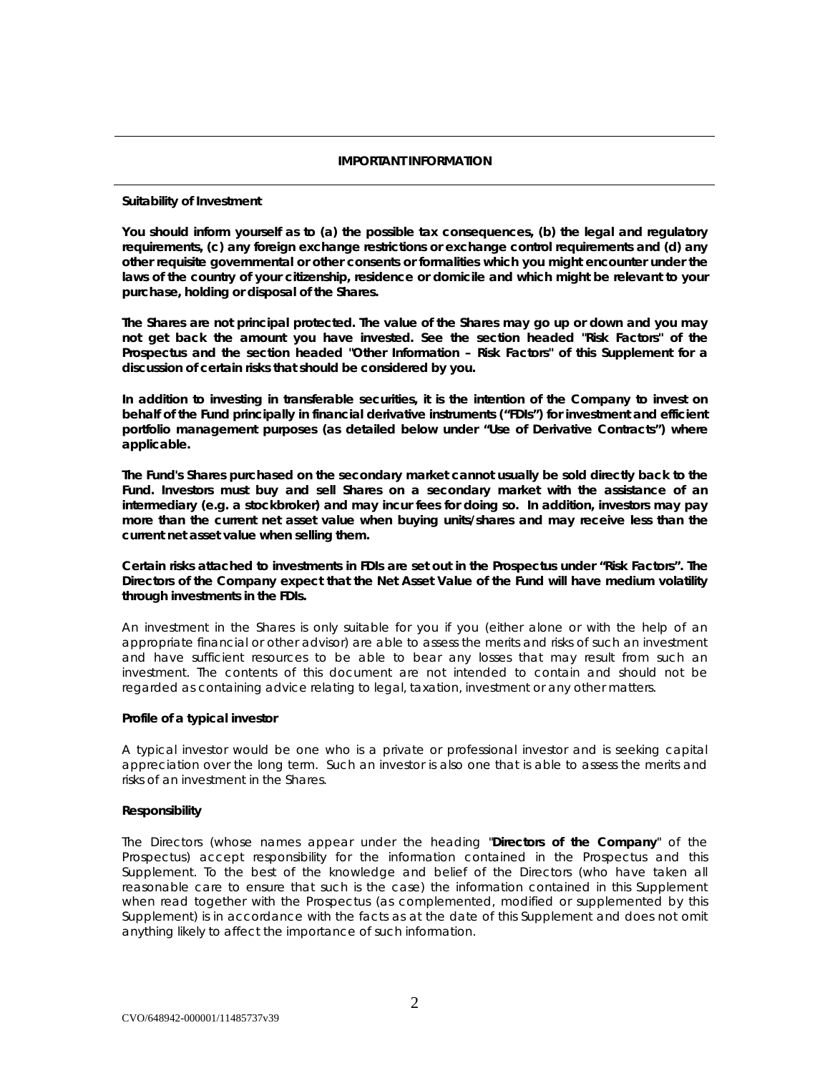# *IMPORTANT INFORMATION*

# **Suitability of Investment**

**You should inform yourself as to (a) the possible tax consequences, (b) the legal and regulatory requirements, (c) any foreign exchange restrictions or exchange control requirements and (d) any other requisite governmental or other consents or formalities which you might encounter under the laws of the country of your citizenship, residence or domicile and which might be relevant to your purchase, holding or disposal of the Shares.** 

**The Shares are not principal protected. The value of the Shares may go up or down and you may not get back the amount you have invested. See the section headed "Risk Factors" of the Prospectus and the section headed "Other Information – Risk Factors" of this Supplement for a discussion of certain risks that should be considered by you.** 

**In addition to investing in transferable securities, it is the intention of the Company to invest on behalf of the Fund principally in financial derivative instruments ("FDIs") for investment and efficient portfolio management purposes (as detailed below under "Use of Derivative Contracts") where applicable.** 

**The Fund's Shares purchased on the secondary market cannot usually be sold directly back to the Fund. Investors must buy and sell Shares on a secondary market with the assistance of an intermediary (e.g. a stockbroker) and may incur fees for doing so. In addition, investors may pay more than the current net asset value when buying units/shares and may receive less than the current net asset value when selling them.**

**Certain risks attached to investments in FDIs are set out in the Prospectus under "Risk Factors". The Directors of the Company expect that the Net Asset Value of the Fund will have medium volatility through investments in the FDIs.** 

An investment in the Shares is only suitable for you if you (either alone or with the help of an appropriate financial or other advisor) are able to assess the merits and risks of such an investment and have sufficient resources to be able to bear any losses that may result from such an investment. The contents of this document are not intended to contain and should not be regarded as containing advice relating to legal, taxation, investment or any other matters.

# **Profile of a typical investor**

A typical investor would be one who is a private or professional investor and is seeking capital appreciation over the long term. Such an investor is also one that is able to assess the merits and risks of an investment in the Shares.

# **Responsibility**

The Directors (whose names appear under the heading "**Directors of the Company**" of the Prospectus) accept responsibility for the information contained in the Prospectus and this Supplement. To the best of the knowledge and belief of the Directors (who have taken all reasonable care to ensure that such is the case) the information contained in this Supplement when read together with the Prospectus (as complemented, modified or supplemented by this Supplement) is in accordance with the facts as at the date of this Supplement and does not omit anything likely to affect the importance of such information.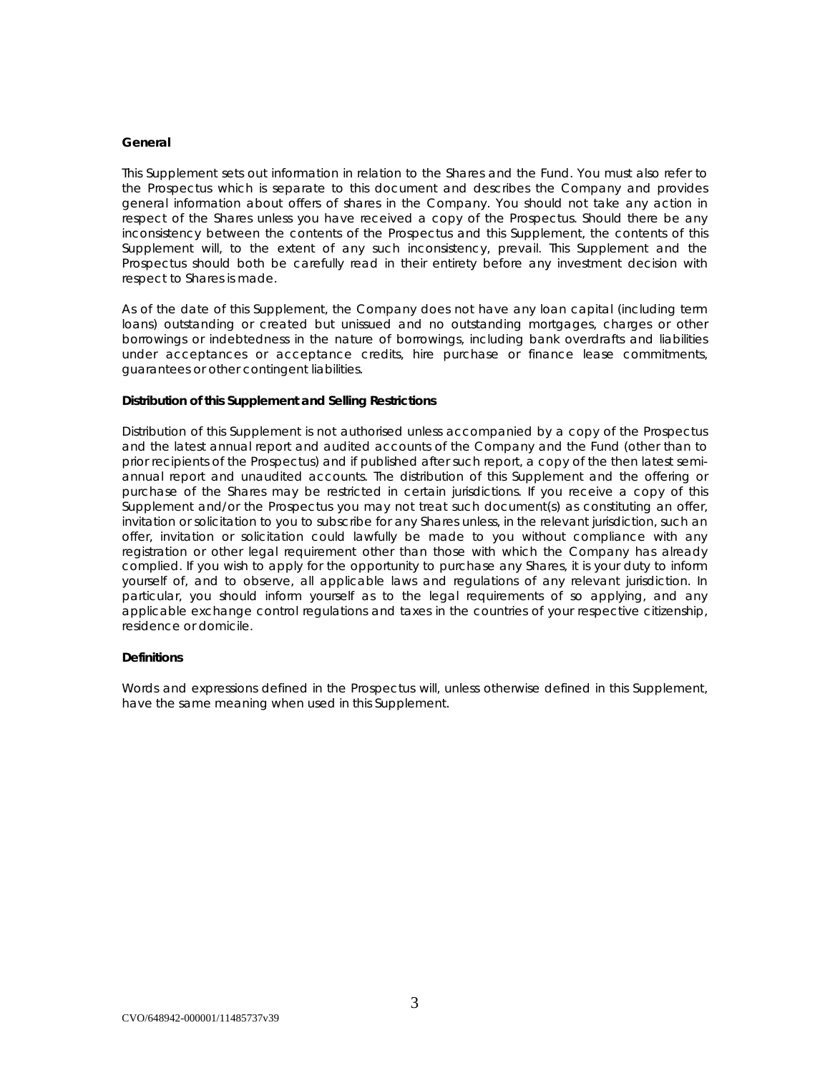#### **General**

This Supplement sets out information in relation to the Shares and the Fund. You must also refer to the Prospectus which is separate to this document and describes the Company and provides general information about offers of shares in the Company. You should not take any action in respect of the Shares unless you have received a copy of the Prospectus. Should there be any inconsistency between the contents of the Prospectus and this Supplement, the contents of this Supplement will, to the extent of any such inconsistency, prevail. This Supplement and the Prospectus should both be carefully read in their entirety before any investment decision with respect to Shares is made.

As of the date of this Supplement, the Company does not have any loan capital (including term loans) outstanding or created but unissued and no outstanding mortgages, charges or other borrowings or indebtedness in the nature of borrowings, including bank overdrafts and liabilities under acceptances or acceptance credits, hire purchase or finance lease commitments, guarantees or other contingent liabilities.

# **Distribution of this Supplement and Selling Restrictions**

Distribution of this Supplement is not authorised unless accompanied by a copy of the Prospectus and the latest annual report and audited accounts of the Company and the Fund (other than to prior recipients of the Prospectus) and if published after such report, a copy of the then latest semiannual report and unaudited accounts. The distribution of this Supplement and the offering or purchase of the Shares may be restricted in certain jurisdictions. If you receive a copy of this Supplement and/or the Prospectus you may not treat such document(s) as constituting an offer, invitation or solicitation to you to subscribe for any Shares unless, in the relevant jurisdiction, such an offer, invitation or solicitation could lawfully be made to you without compliance with any registration or other legal requirement other than those with which the Company has already complied. If you wish to apply for the opportunity to purchase any Shares, it is your duty to inform yourself of, and to observe, all applicable laws and regulations of any relevant jurisdiction. In particular, you should inform yourself as to the legal requirements of so applying, and any applicable exchange control regulations and taxes in the countries of your respective citizenship, residence or domicile.

# **Definitions**

Words and expressions defined in the Prospectus will, unless otherwise defined in this Supplement, have the same meaning when used in this Supplement.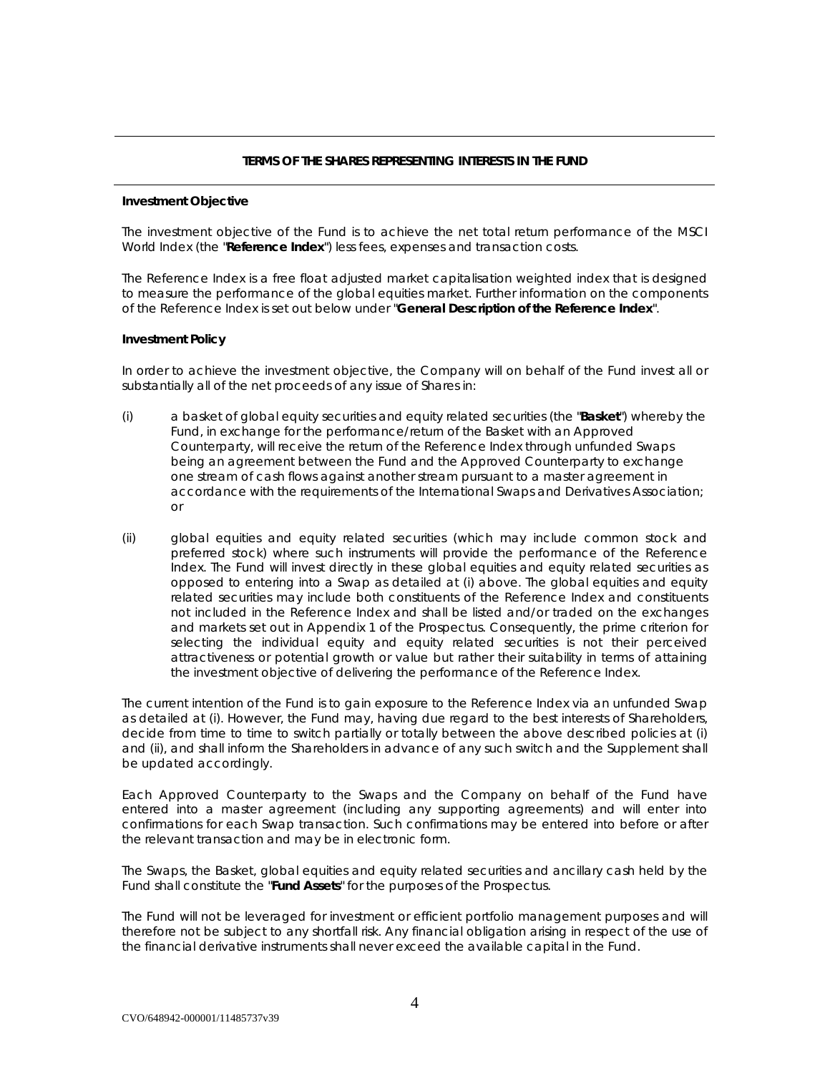# *TERMS OF THE SHARES REPRESENTING INTERESTS IN THE FUND*

# **Investment Objective**

The investment objective of the Fund is to achieve the net total return performance of the MSCI World Index (the "**Reference Index**") less fees, expenses and transaction costs.

The Reference Index is a free float adjusted market capitalisation weighted index that is designed to measure the performance of the global equities market. Further information on the components of the Reference Index is set out below under "**General Description of the Reference Index**".

# **Investment Policy**

In order to achieve the investment objective, the Company will on behalf of the Fund invest all or substantially all of the net proceeds of any issue of Shares in:

- (i) a basket of global equity securities and equity related securities (the "**Basket**") whereby the Fund, in exchange for the performance/return of the Basket with an Approved Counterparty, will receive the return of the Reference Index through unfunded Swaps being an agreement between the Fund and the Approved Counterparty to exchange one stream of cash flows against another stream pursuant to a master agreement in accordance with the requirements of the International Swaps and Derivatives Association; or
- (ii) global equities and equity related securities (which may include common stock and preferred stock) where such instruments will provide the performance of the Reference Index. The Fund will invest directly in these global equities and equity related securities as opposed to entering into a Swap as detailed at (i) above. The global equities and equity related securities may include both constituents of the Reference Index and constituents not included in the Reference Index and shall be listed and/or traded on the exchanges and markets set out in Appendix 1 of the Prospectus. Consequently, the prime criterion for selecting the individual equity and equity related securities is not their perceived attractiveness or potential growth or value but rather their suitability in terms of attaining the investment objective of delivering the performance of the Reference Index.

The current intention of the Fund is to gain exposure to the Reference Index via an unfunded Swap as detailed at (i). However, the Fund may, having due regard to the best interests of Shareholders, decide from time to time to switch partially or totally between the above described policies at (i) and (ii), and shall inform the Shareholders in advance of any such switch and the Supplement shall be updated accordingly.

Each Approved Counterparty to the Swaps and the Company on behalf of the Fund have entered into a master agreement (including any supporting agreements) and will enter into confirmations for each Swap transaction. Such confirmations may be entered into before or after the relevant transaction and may be in electronic form.

The Swaps, the Basket, global equities and equity related securities and ancillary cash held by the Fund shall constitute the "**Fund Assets**" for the purposes of the Prospectus.

The Fund will not be leveraged for investment or efficient portfolio management purposes and will therefore not be subject to any shortfall risk. Any financial obligation arising in respect of the use of the financial derivative instruments shall never exceed the available capital in the Fund.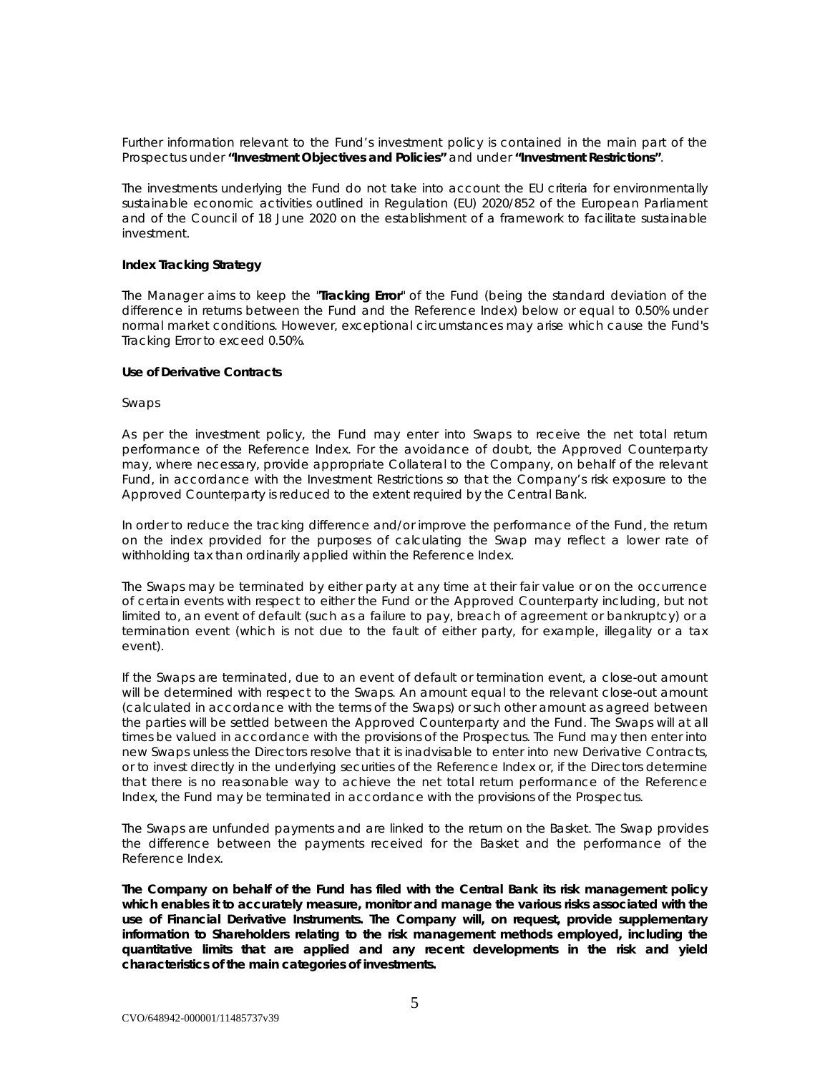Further information relevant to the Fund's investment policy is contained in the main part of the Prospectus under **"Investment Objectives and Policies"** and under **"Investment Restrictions"**.

The investments underlying the Fund do not take into account the EU criteria for environmentally sustainable economic activities outlined in Regulation (EU) 2020/852 of the European Parliament and of the Council of 18 June 2020 on the establishment of a framework to facilitate sustainable investment.

#### **Index Tracking Strategy**

The Manager aims to keep the "**Tracking Error**" of the Fund (being the standard deviation of the difference in returns between the Fund and the Reference Index) below or equal to 0.50% under normal market conditions. However, exceptional circumstances may arise which cause the Fund's Tracking Error to exceed 0.50%.

# **Use of Derivative Contracts**

#### *Swaps*

As per the investment policy, the Fund may enter into Swaps to receive the net total return performance of the Reference Index. For the avoidance of doubt, the Approved Counterparty may, where necessary, provide appropriate Collateral to the Company, on behalf of the relevant Fund, in accordance with the Investment Restrictions so that the Company's risk exposure to the Approved Counterparty is reduced to the extent required by the Central Bank.

In order to reduce the tracking difference and/or improve the performance of the Fund, the return on the index provided for the purposes of calculating the Swap may reflect a lower rate of withholding tax than ordinarily applied within the Reference Index.

The Swaps may be terminated by either party at any time at their fair value or on the occurrence of certain events with respect to either the Fund or the Approved Counterparty including, but not limited to, an event of default (such as a failure to pay, breach of agreement or bankruptcy) or a termination event (which is not due to the fault of either party, for example, illegality or a tax event).

If the Swaps are terminated, due to an event of default or termination event, a close-out amount will be determined with respect to the Swaps. An amount equal to the relevant close-out amount (calculated in accordance with the terms of the Swaps) or such other amount as agreed between the parties will be settled between the Approved Counterparty and the Fund. The Swaps will at all times be valued in accordance with the provisions of the Prospectus. The Fund may then enter into new Swaps unless the Directors resolve that it is inadvisable to enter into new Derivative Contracts, or to invest directly in the underlying securities of the Reference Index or, if the Directors determine that there is no reasonable way to achieve the net total return performance of the Reference Index, the Fund may be terminated in accordance with the provisions of the Prospectus.

The Swaps are unfunded payments and are linked to the return on the Basket. The Swap provides the difference between the payments received for the Basket and the performance of the Reference Index.

**The Company on behalf of the Fund has filed with the Central Bank its risk management policy which enables it to accurately measure, monitor and manage the various risks associated with the use of Financial Derivative Instruments. The Company will, on request, provide supplementary information to Shareholders relating to the risk management methods employed, including the quantitative limits that are applied and any recent developments in the risk and yield characteristics of the main categories of investments.**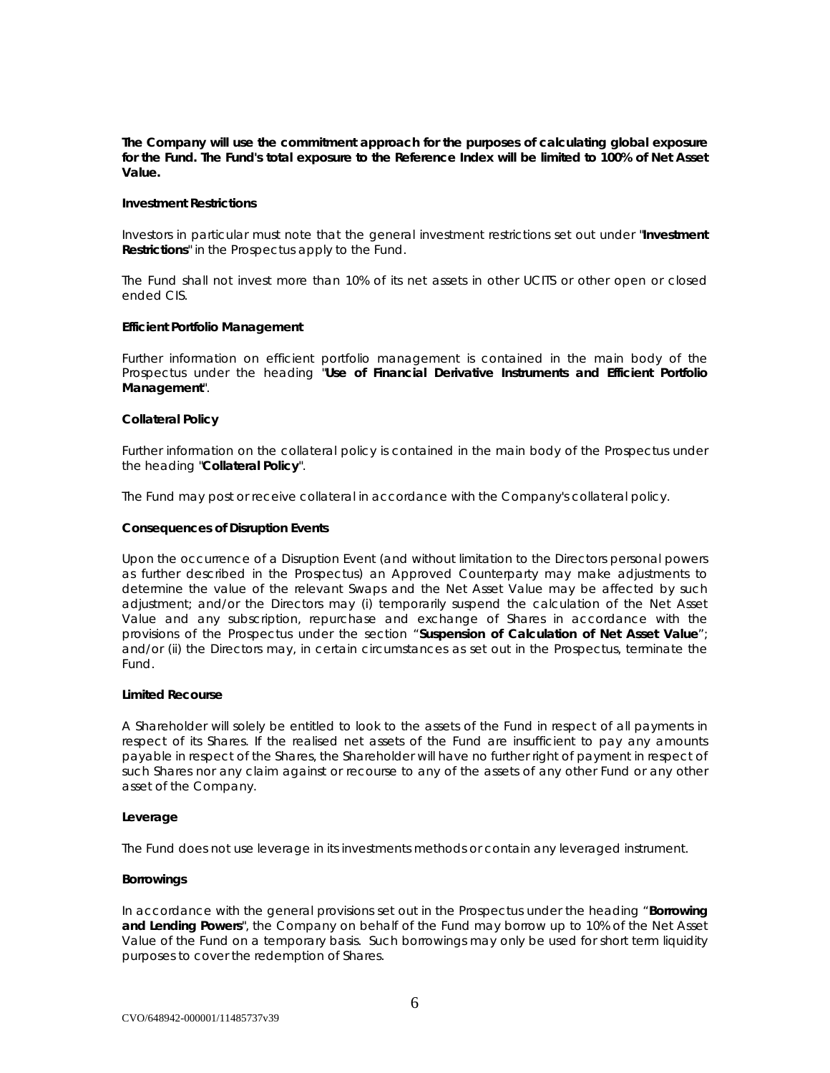**The Company will use the commitment approach for the purposes of calculating global exposure for the Fund. The Fund's total exposure to the Reference Index will be limited to 100% of Net Asset Value.** 

#### **Investment Restrictions**

Investors in particular must note that the general investment restrictions set out under "**Investment Restrictions**" in the Prospectus apply to the Fund.

The Fund shall not invest more than 10% of its net assets in other UCITS or other open or closed ended CIS.

#### **Efficient Portfolio Management**

Further information on efficient portfolio management is contained in the main body of the Prospectus under the heading "**Use of Financial Derivative Instruments and Efficient Portfolio Management**".

#### **Collateral Policy**

Further information on the collateral policy is contained in the main body of the Prospectus under the heading "**Collateral Policy**".

The Fund may post or receive collateral in accordance with the Company's collateral policy.

#### **Consequences of Disruption Events**

Upon the occurrence of a Disruption Event (and without limitation to the Directors personal powers as further described in the Prospectus) an Approved Counterparty may make adjustments to determine the value of the relevant Swaps and the Net Asset Value may be affected by such adjustment; and/or the Directors may (i) temporarily suspend the calculation of the Net Asset Value and any subscription, repurchase and exchange of Shares in accordance with the provisions of the Prospectus under the section "**Suspension of Calculation of Net Asset Value**"; and/or (ii) the Directors may, in certain circumstances as set out in the Prospectus, terminate the Fund.

# **Limited Recourse**

A Shareholder will solely be entitled to look to the assets of the Fund in respect of all payments in respect of its Shares. If the realised net assets of the Fund are insufficient to pay any amounts payable in respect of the Shares, the Shareholder will have no further right of payment in respect of such Shares nor any claim against or recourse to any of the assets of any other Fund or any other asset of the Company.

#### **Leverage**

The Fund does not use leverage in its investments methods or contain any leveraged instrument.

#### **Borrowings**

In accordance with the general provisions set out in the Prospectus under the heading "**Borrowing and Lending Powers**", the Company on behalf of the Fund may borrow up to 10% of the Net Asset Value of the Fund on a temporary basis. Such borrowings may only be used for short term liquidity purposes to cover the redemption of Shares.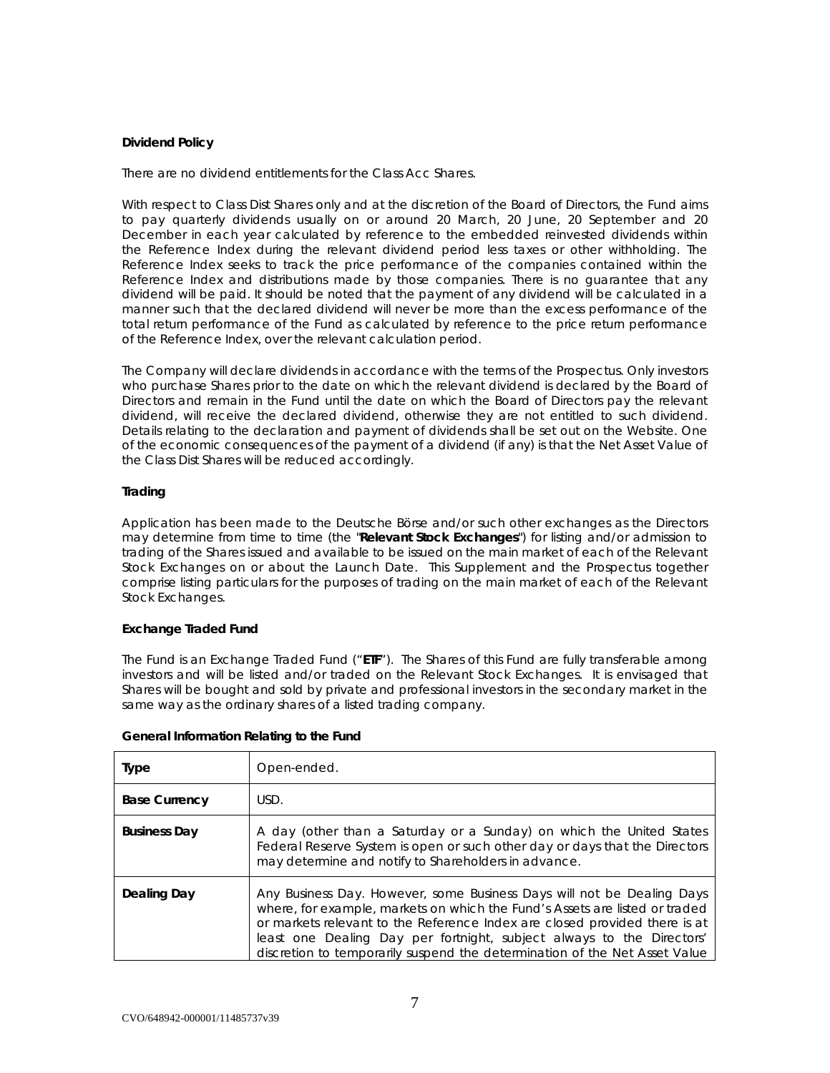# **Dividend Policy**

There are no dividend entitlements for the Class Acc Shares.

With respect to Class Dist Shares only and at the discretion of the Board of Directors, the Fund aims to pay quarterly dividends usually on or around 20 March, 20 June, 20 September and 20 December in each year calculated by reference to the embedded reinvested dividends within the Reference Index during the relevant dividend period less taxes or other withholding. The Reference Index seeks to track the price performance of the companies contained within the Reference Index and distributions made by those companies. There is no guarantee that any dividend will be paid. It should be noted that the payment of any dividend will be calculated in a manner such that the declared dividend will never be more than the excess performance of the total return performance of the Fund as calculated by reference to the price return performance of the Reference Index, over the relevant calculation period.

The Company will declare dividends in accordance with the terms of the Prospectus. Only investors who purchase Shares prior to the date on which the relevant dividend is declared by the Board of Directors and remain in the Fund until the date on which the Board of Directors pay the relevant dividend, will receive the declared dividend, otherwise they are not entitled to such dividend. Details relating to the declaration and payment of dividends shall be set out on the Website. One of the economic consequences of the payment of a dividend (if any) is that the Net Asset Value of the Class Dist Shares will be reduced accordingly.

# **Trading**

Application has been made to the Deutsche Börse and/or such other exchanges as the Directors may determine from time to time (the "**Relevant Stock Exchanges**") for listing and/or admission to trading of the Shares issued and available to be issued on the main market of each of the Relevant Stock Exchanges on or about the Launch Date. This Supplement and the Prospectus together comprise listing particulars for the purposes of trading on the main market of each of the Relevant Stock Exchanges.

# **Exchange Traded Fund**

The Fund is an Exchange Traded Fund ("**ETF**"). The Shares of this Fund are fully transferable among investors and will be listed and/or traded on the Relevant Stock Exchanges. It is envisaged that Shares will be bought and sold by private and professional investors in the secondary market in the same way as the ordinary shares of a listed trading company.

| General Information Relating to the Fund |  |  |
|------------------------------------------|--|--|
|                                          |  |  |

| Type                 | Open-ended.                                                                                                                                                                                                                                                                                                                                                                                |
|----------------------|--------------------------------------------------------------------------------------------------------------------------------------------------------------------------------------------------------------------------------------------------------------------------------------------------------------------------------------------------------------------------------------------|
| <b>Base Currency</b> | USD.                                                                                                                                                                                                                                                                                                                                                                                       |
| <b>Business Day</b>  | A day (other than a Saturday or a Sunday) on which the United States<br>Federal Reserve System is open or such other day or days that the Directors<br>may determine and notify to Shareholders in advance.                                                                                                                                                                                |
| Dealing Day          | Any Business Day. However, some Business Days will not be Dealing Days<br>where, for example, markets on which the Fund's Assets are listed or traded<br>or markets relevant to the Reference Index are closed provided there is at<br>least one Dealing Day per fortnight, subject always to the Directors'<br>discretion to temporarily suspend the determination of the Net Asset Value |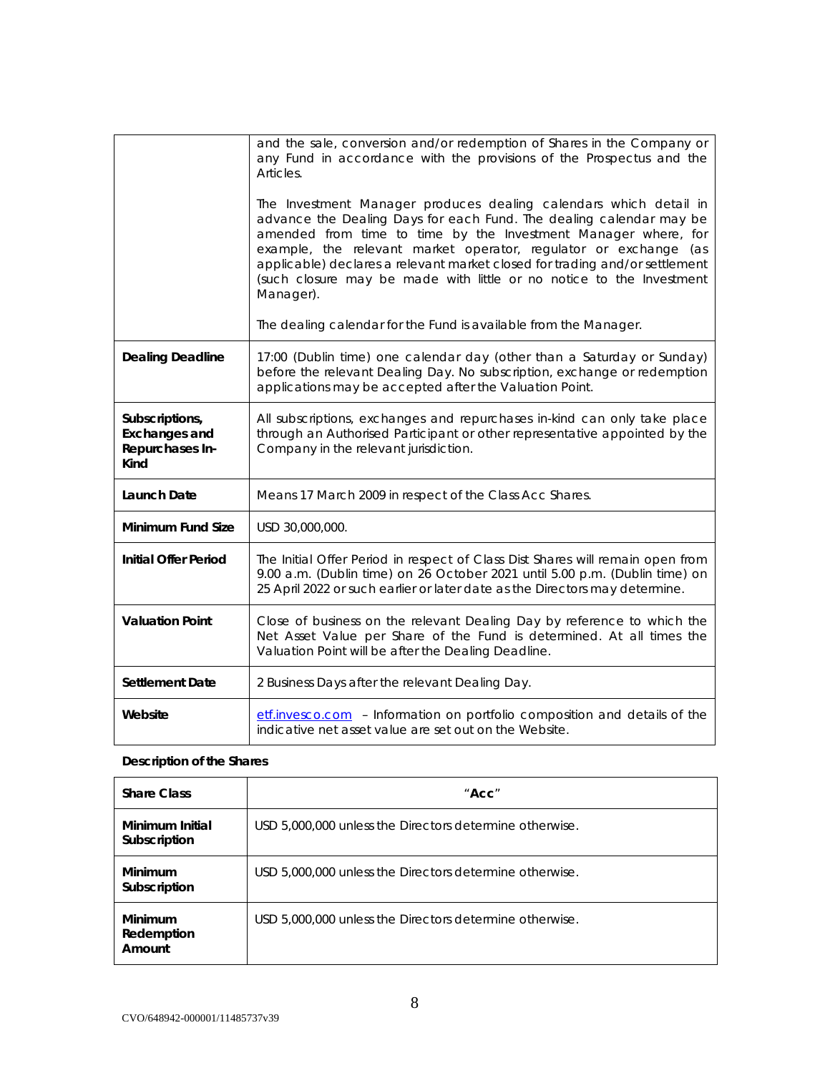|                                                                   | and the sale, conversion and/or redemption of Shares in the Company or<br>any Fund in accordance with the provisions of the Prospectus and the<br>Articles.<br>The Investment Manager produces dealing calendars which detail in<br>advance the Dealing Days for each Fund. The dealing calendar may be<br>amended from time to time by the Investment Manager where, for<br>example, the relevant market operator, regulator or exchange (as<br>applicable) declares a relevant market closed for trading and/or settlement<br>(such closure may be made with little or no notice to the Investment<br>Manager).<br>The dealing calendar for the Fund is available from the Manager. |
|-------------------------------------------------------------------|---------------------------------------------------------------------------------------------------------------------------------------------------------------------------------------------------------------------------------------------------------------------------------------------------------------------------------------------------------------------------------------------------------------------------------------------------------------------------------------------------------------------------------------------------------------------------------------------------------------------------------------------------------------------------------------|
|                                                                   |                                                                                                                                                                                                                                                                                                                                                                                                                                                                                                                                                                                                                                                                                       |
| <b>Dealing Deadline</b>                                           | 17:00 (Dublin time) one calendar day (other than a Saturday or Sunday)<br>before the relevant Dealing Day. No subscription, exchange or redemption<br>applications may be accepted after the Valuation Point.                                                                                                                                                                                                                                                                                                                                                                                                                                                                         |
| Subscriptions,<br><b>Exchanges and</b><br>Repurchases In-<br>Kind | All subscriptions, exchanges and repurchases in-kind can only take place<br>through an Authorised Participant or other representative appointed by the<br>Company in the relevant jurisdiction.                                                                                                                                                                                                                                                                                                                                                                                                                                                                                       |
| <b>Launch Date</b>                                                | Means 17 March 2009 in respect of the Class Acc Shares.                                                                                                                                                                                                                                                                                                                                                                                                                                                                                                                                                                                                                               |
| <b>Minimum Fund Size</b>                                          | USD 30,000,000.                                                                                                                                                                                                                                                                                                                                                                                                                                                                                                                                                                                                                                                                       |
| <b>Initial Offer Period</b>                                       | The Initial Offer Period in respect of Class Dist Shares will remain open from<br>9.00 a.m. (Dublin time) on 26 October 2021 until 5.00 p.m. (Dublin time) on<br>25 April 2022 or such earlier or later date as the Directors may determine.                                                                                                                                                                                                                                                                                                                                                                                                                                          |
| <b>Valuation Point</b>                                            | Close of business on the relevant Dealing Day by reference to which the<br>Net Asset Value per Share of the Fund is determined. At all times the<br>Valuation Point will be after the Dealing Deadline.                                                                                                                                                                                                                                                                                                                                                                                                                                                                               |
| <b>Settlement Date</b>                                            | 2 Business Days after the relevant Dealing Day.                                                                                                                                                                                                                                                                                                                                                                                                                                                                                                                                                                                                                                       |
| Website                                                           | etf.invesco.com - Information on portfolio composition and details of the<br>indicative net asset value are set out on the Website.                                                                                                                                                                                                                                                                                                                                                                                                                                                                                                                                                   |

# **Description of the Shares**

| <b>Share Class</b>              | $"$ Acc $"$                                             |
|---------------------------------|---------------------------------------------------------|
| Minimum Initial<br>Subscription | USD 5,000,000 unless the Directors determine otherwise. |
| Minimum<br>Subscription         | USD 5,000,000 unless the Directors determine otherwise. |
| Minimum<br>Redemption<br>Amount | USD 5,000,000 unless the Directors determine otherwise. |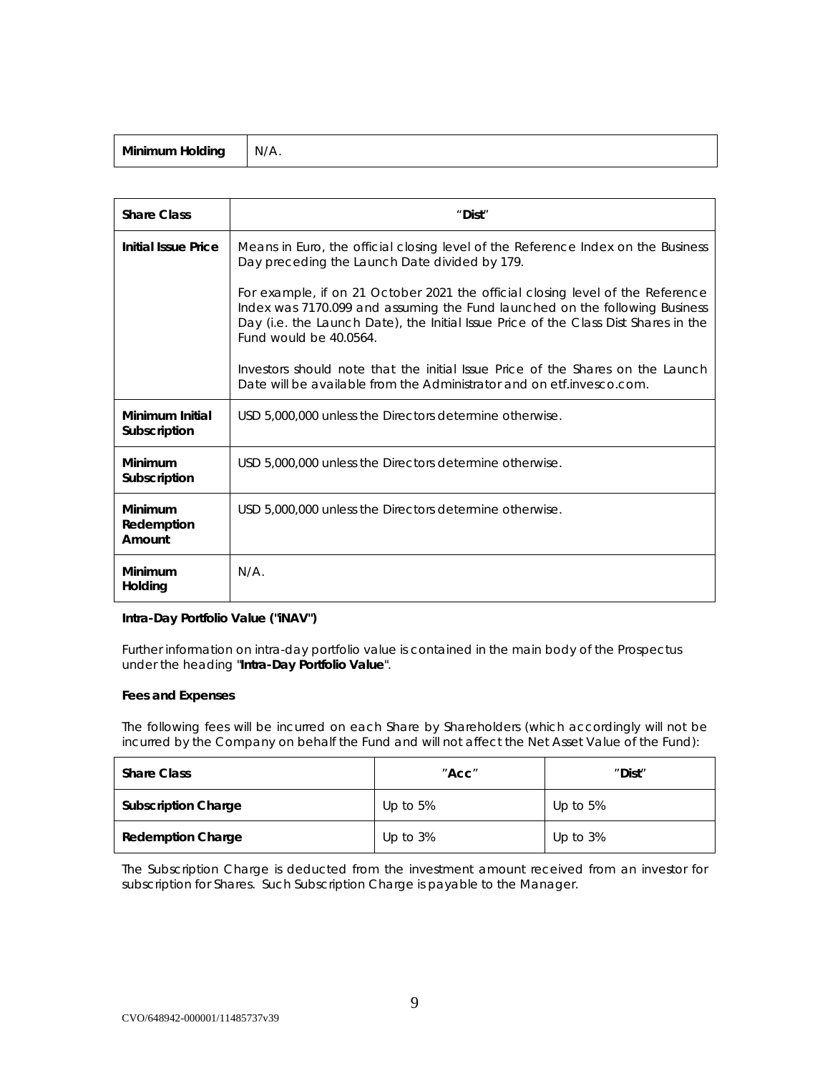| Minimum Holding | N/A. |
|-----------------|------|
|-----------------|------|

| <b>Share Class</b>              | "Dist"                                                                                                                                                                                                                                                                         |  |  |
|---------------------------------|--------------------------------------------------------------------------------------------------------------------------------------------------------------------------------------------------------------------------------------------------------------------------------|--|--|
| <b>Initial Issue Price</b>      | Means in Euro, the official closing level of the Reference Index on the Business<br>Day preceding the Launch Date divided by 179.                                                                                                                                              |  |  |
|                                 | For example, if on 21 October 2021 the official closing level of the Reference<br>Index was 7170.099 and assuming the Fund launched on the following Business<br>Day (i.e. the Launch Date), the Initial Issue Price of the Class Dist Shares in the<br>Fund would be 40,0564. |  |  |
|                                 | Investors should note that the initial Issue Price of the Shares on the Launch<br>Date will be available from the Administrator and on etf. invesco.com.                                                                                                                       |  |  |
| Minimum Initial<br>Subscription | USD 5,000,000 unless the Directors determine otherwise.                                                                                                                                                                                                                        |  |  |
| Minimum<br>Subscription         | USD 5,000,000 unless the Directors determine otherwise.                                                                                                                                                                                                                        |  |  |
| Minimum<br>Redemption<br>Amount | USD 5,000,000 unless the Directors determine otherwise.                                                                                                                                                                                                                        |  |  |
| Minimum<br>Holding              | N/A                                                                                                                                                                                                                                                                            |  |  |

# **Intra-Day Portfolio Value ("iNAV")**

Further information on intra-day portfolio value is contained in the main body of the Prospectus under the heading "**Intra-Day Portfolio Value**".

# **Fees and Expenses**

The following fees will be incurred on each Share by Shareholders (which accordingly will not be incurred by the Company on behalf the Fund and will not affect the Net Asset Value of the Fund):

| <b>Share Class</b>         | $"$ Acc $"$ | "Dist"      |
|----------------------------|-------------|-------------|
| <b>Subscription Charge</b> | Up to $5%$  | Up to $5%$  |
| <b>Redemption Charge</b>   | Up to $3\%$ | Up to $3\%$ |

The Subscription Charge is deducted from the investment amount received from an investor for subscription for Shares. Such Subscription Charge is payable to the Manager.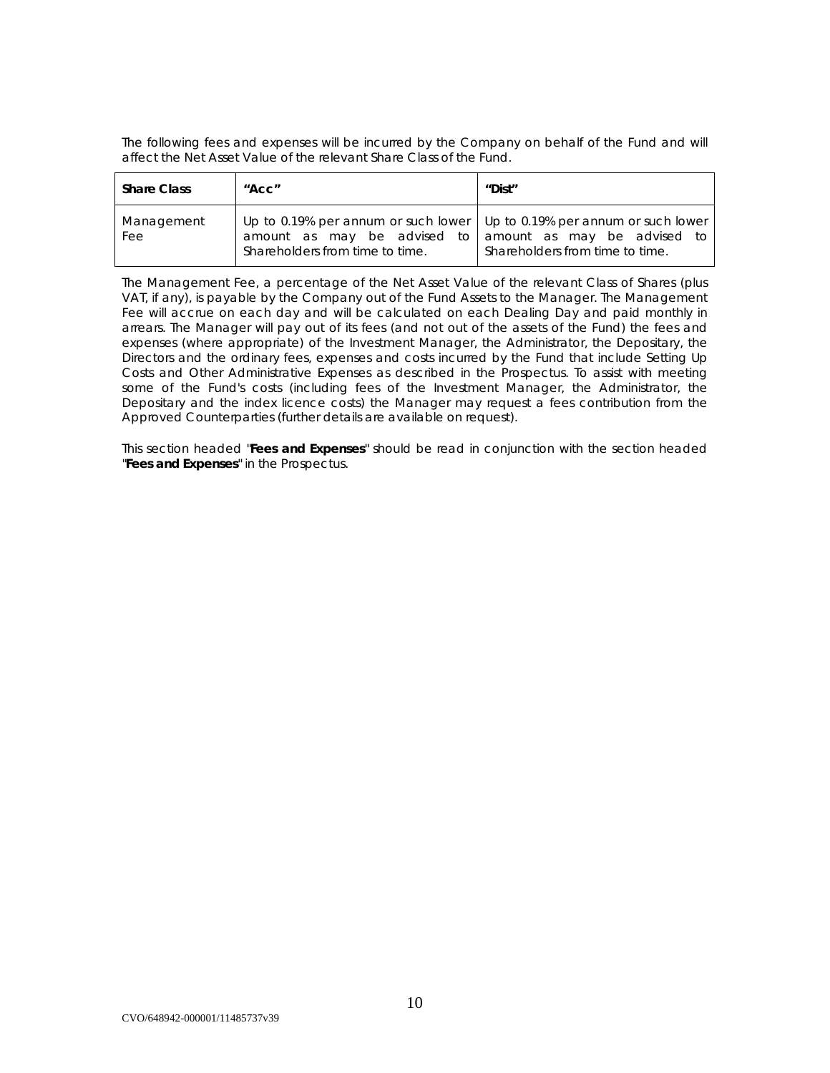The following fees and expenses will be incurred by the Company on behalf of the Fund and will affect the Net Asset Value of the relevant Share Class of the Fund.

| <b>Share Class</b> | $"$ Acc $"$                                                                                                                                                             | "Dist"                          |
|--------------------|-------------------------------------------------------------------------------------------------------------------------------------------------------------------------|---------------------------------|
| Management<br>Fee  | Up to 0.19% per annum or such lower   Up to 0.19% per annum or such lower<br>amount as may be advised to amount as may be advised to<br>Shareholders from time to time. | Shareholders from time to time. |

The Management Fee, a percentage of the Net Asset Value of the relevant Class of Shares (plus VAT, if any), is payable by the Company out of the Fund Assets to the Manager. The Management Fee will accrue on each day and will be calculated on each Dealing Day and paid monthly in arrears. The Manager will pay out of its fees (and not out of the assets of the Fund) the fees and expenses (where appropriate) of the Investment Manager, the Administrator, the Depositary, the Directors and the ordinary fees, expenses and costs incurred by the Fund that include Setting Up Costs and Other Administrative Expenses as described in the Prospectus. To assist with meeting some of the Fund's costs (including fees of the Investment Manager, the Administrator, the Depositary and the index licence costs) the Manager may request a fees contribution from the Approved Counterparties (further details are available on request).

This section headed "**Fees and Expenses**" should be read in conjunction with the section headed "**Fees and Expenses**" in the Prospectus.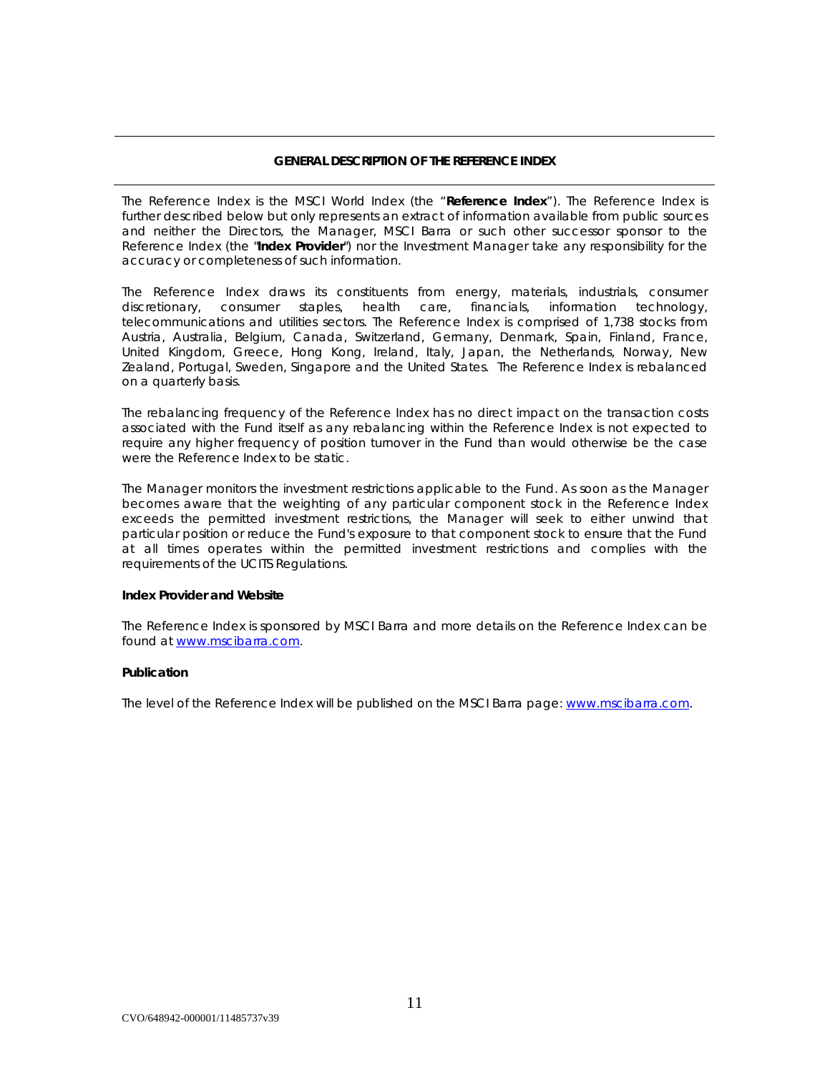# *GENERAL DESCRIPTION OF THE REFERENCE INDEX*

The Reference Index is the MSCI World Index (the "**Reference Index**"). The Reference Index is further described below but only represents an extract of information available from public sources and neither the Directors, the Manager, MSCI Barra or such other successor sponsor to the Reference Index (the "**Index Provider**") nor the Investment Manager take any responsibility for the accuracy or completeness of such information.

The Reference Index draws its constituents from energy, materials, industrials, consumer discretionary, consumer staples, health care, financials, information technology, telecommunications and utilities sectors. The Reference Index is comprised of 1,738 stocks from Austria, Australia, Belgium, Canada, Switzerland, Germany, Denmark, Spain, Finland, France, United Kingdom, Greece, Hong Kong, Ireland, Italy, Japan, the Netherlands, Norway, New Zealand, Portugal, Sweden, Singapore and the United States. The Reference Index is rebalanced on a quarterly basis.

The rebalancing frequency of the Reference Index has no direct impact on the transaction costs associated with the Fund itself as any rebalancing within the Reference Index is not expected to require any higher frequency of position turnover in the Fund than would otherwise be the case were the Reference Index to be static.

The Manager monitors the investment restrictions applicable to the Fund. As soon as the Manager becomes aware that the weighting of any particular component stock in the Reference Index exceeds the permitted investment restrictions, the Manager will seek to either unwind that particular position or reduce the Fund's exposure to that component stock to ensure that the Fund at all times operates within the permitted investment restrictions and complies with the requirements of the UCITS Regulations.

# **Index Provider and Website**

The Reference Index is sponsored by MSCI Barra and more details on the Reference Index can be found at [www.mscibarra.com.](http://www.mscibarra.com/)

# **Publication**

The level of the Reference Index will be published on the MSCI Barra page: [www.mscibarra.com.](file://iesto01/tshomefs$/CZU.DUBLIN/NRPortbl/Dublin/CZU/www.mscibarra.com)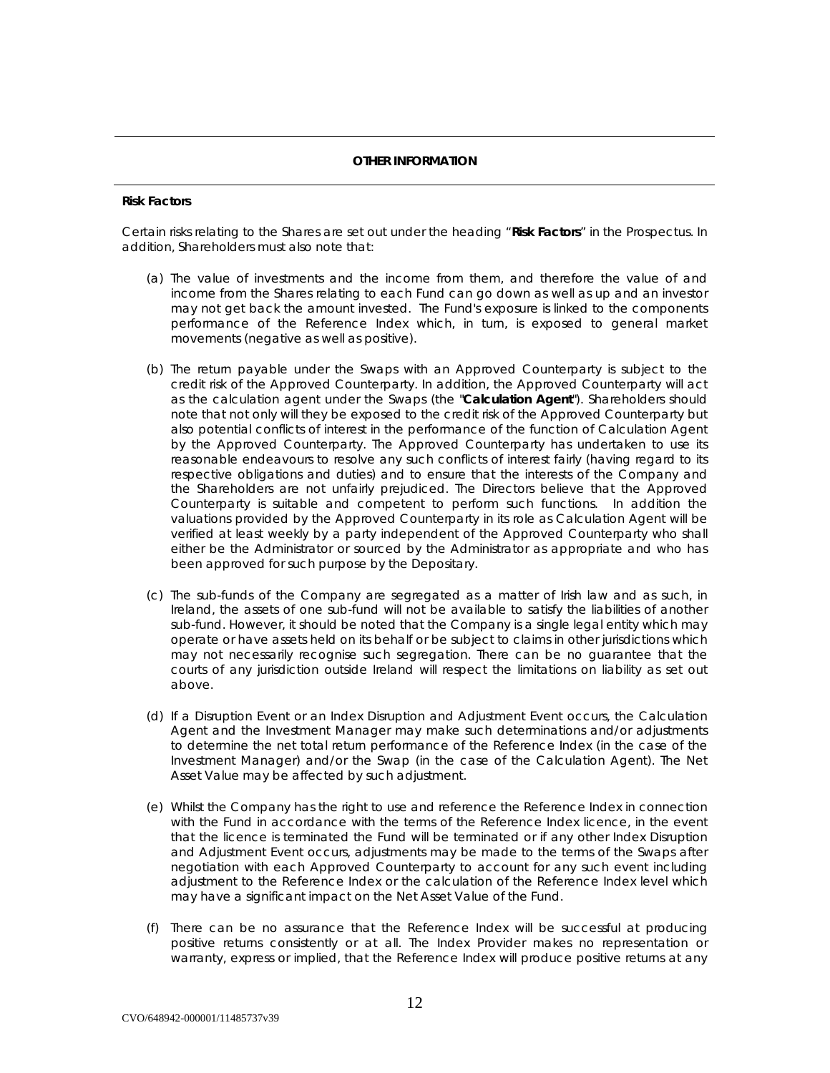# *OTHER INFORMATION*

# **Risk Factors**

Certain risks relating to the Shares are set out under the heading "**Risk Factors**" in the Prospectus. In addition, Shareholders must also note that:

- (a) The value of investments and the income from them, and therefore the value of and income from the Shares relating to each Fund can go down as well as up and an investor may not get back the amount invested. The Fund's exposure is linked to the components performance of the Reference Index which, in turn, is exposed to general market movements (negative as well as positive).
- (b) The return payable under the Swaps with an Approved Counterparty is subject to the credit risk of the Approved Counterparty. In addition, the Approved Counterparty will act as the calculation agent under the Swaps (the "**Calculation Agent**"). Shareholders should note that not only will they be exposed to the credit risk of the Approved Counterparty but also potential conflicts of interest in the performance of the function of Calculation Agent by the Approved Counterparty. The Approved Counterparty has undertaken to use its reasonable endeavours to resolve any such conflicts of interest fairly (having regard to its respective obligations and duties) and to ensure that the interests of the Company and the Shareholders are not unfairly prejudiced. The Directors believe that the Approved Counterparty is suitable and competent to perform such functions. In addition the valuations provided by the Approved Counterparty in its role as Calculation Agent will be verified at least weekly by a party independent of the Approved Counterparty who shall either be the Administrator or sourced by the Administrator as appropriate and who has been approved for such purpose by the Depositary.
- (c) The sub-funds of the Company are segregated as a matter of Irish law and as such, in Ireland, the assets of one sub-fund will not be available to satisfy the liabilities of another sub-fund. However, it should be noted that the Company is a single legal entity which may operate or have assets held on its behalf or be subject to claims in other jurisdictions which may not necessarily recognise such segregation. There can be no guarantee that the courts of any jurisdiction outside Ireland will respect the limitations on liability as set out above.
- (d) If a Disruption Event or an Index Disruption and Adjustment Event occurs, the Calculation Agent and the Investment Manager may make such determinations and/or adjustments to determine the net total return performance of the Reference Index (in the case of the Investment Manager) and/or the Swap (in the case of the Calculation Agent). The Net Asset Value may be affected by such adjustment.
- (e) Whilst the Company has the right to use and reference the Reference Index in connection with the Fund in accordance with the terms of the Reference Index licence, in the event that the licence is terminated the Fund will be terminated or if any other Index Disruption and Adjustment Event occurs, adjustments may be made to the terms of the Swaps after negotiation with each Approved Counterparty to account for any such event including adjustment to the Reference Index or the calculation of the Reference Index level which may have a significant impact on the Net Asset Value of the Fund.
- (f) There can be no assurance that the Reference Index will be successful at producing positive returns consistently or at all. The Index Provider makes no representation or warranty, express or implied, that the Reference Index will produce positive returns at any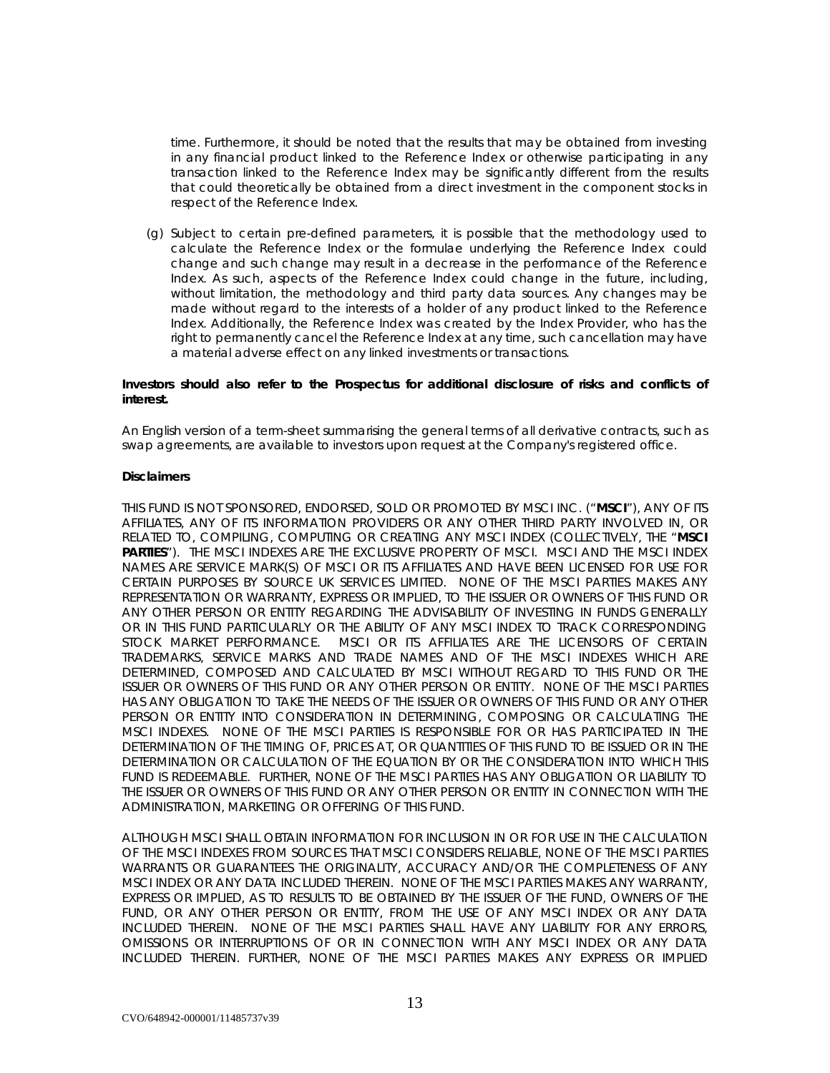time. Furthermore, it should be noted that the results that may be obtained from investing in any financial product linked to the Reference Index or otherwise participating in any transaction linked to the Reference Index may be significantly different from the results that could theoretically be obtained from a direct investment in the component stocks in respect of the Reference Index.

(g) Subject to certain pre-defined parameters, it is possible that the methodology used to calculate the Reference Index or the formulae underlying the Reference Index could change and such change may result in a decrease in the performance of the Reference Index. As such, aspects of the Reference Index could change in the future, including, without limitation, the methodology and third party data sources. Any changes may be made without regard to the interests of a holder of any product linked to the Reference Index. Additionally, the Reference Index was created by the Index Provider, who has the right to permanently cancel the Reference Index at any time, such cancellation may have a material adverse effect on any linked investments or transactions.

# **Investors should also refer to the Prospectus for additional disclosure of risks and conflicts of interest.**

An English version of a term-sheet summarising the general terms of all derivative contracts, such as swap agreements, are available to investors upon request at the Company's registered office.

# **Disclaimers**

THIS FUND IS NOT SPONSORED, ENDORSED, SOLD OR PROMOTED BY MSCI INC. ("**MSCI**"), ANY OF ITS AFFILIATES, ANY OF ITS INFORMATION PROVIDERS OR ANY OTHER THIRD PARTY INVOLVED IN, OR RELATED TO, COMPILING, COMPUTING OR CREATING ANY MSCI INDEX (COLLECTIVELY, THE "**MSCI**  PARTIES"). THE MSCI INDEXES ARE THE EXCLUSIVE PROPERTY OF MSCI. MSCI AND THE MSCI INDEX NAMES ARE SERVICE MARK(S) OF MSCI OR ITS AFFILIATES AND HAVE BEEN LICENSED FOR USE FOR CERTAIN PURPOSES BY SOURCE UK SERVICES LIMITED. NONE OF THE MSCI PARTIES MAKES ANY REPRESENTATION OR WARRANTY, EXPRESS OR IMPLIED, TO THE ISSUER OR OWNERS OF THIS FUND OR ANY OTHER PERSON OR ENTITY REGARDING THE ADVISABILITY OF INVESTING IN FUNDS GENERALLY OR IN THIS FUND PARTICULARLY OR THE ABILITY OF ANY MSCI INDEX TO TRACK CORRESPONDING STOCK MARKET PERFORMANCE. MSCI OR ITS AFFILIATES ARE THE LICENSORS OF CERTAIN TRADEMARKS, SERVICE MARKS AND TRADE NAMES AND OF THE MSCI INDEXES WHICH ARE DETERMINED, COMPOSED AND CALCULATED BY MSCI WITHOUT REGARD TO THIS FUND OR THE ISSUER OR OWNERS OF THIS FUND OR ANY OTHER PERSON OR ENTITY. NONE OF THE MSCI PARTIES HAS ANY OBLIGATION TO TAKE THE NEEDS OF THE ISSUER OR OWNERS OF THIS FUND OR ANY OTHER PERSON OR ENTITY INTO CONSIDERATION IN DETERMINING, COMPOSING OR CALCULATING THE MSCI INDEXES. NONE OF THE MSCI PARTIES IS RESPONSIBLE FOR OR HAS PARTICIPATED IN THE DETERMINATION OF THE TIMING OF, PRICES AT, OR QUANTITIES OF THIS FUND TO BE ISSUED OR IN THE DETERMINATION OR CALCULATION OF THE EQUATION BY OR THE CONSIDERATION INTO WHICH THIS FUND IS REDEEMABLE. FURTHER, NONE OF THE MSCI PARTIES HAS ANY OBLIGATION OR LIABILITY TO THE ISSUER OR OWNERS OF THIS FUND OR ANY OTHER PERSON OR ENTITY IN CONNECTION WITH THE ADMINISTRATION, MARKETING OR OFFERING OF THIS FUND.

ALTHOUGH MSCI SHALL OBTAIN INFORMATION FOR INCLUSION IN OR FOR USE IN THE CALCULATION OF THE MSCI INDEXES FROM SOURCES THAT MSCI CONSIDERS RELIABLE, NONE OF THE MSCI PARTIES WARRANTS OR GUARANTEES THE ORIGINALITY, ACCURACY AND/OR THE COMPLETENESS OF ANY MSCI INDEX OR ANY DATA INCLUDED THEREIN. NONE OF THE MSCI PARTIES MAKES ANY WARRANTY, EXPRESS OR IMPLIED, AS TO RESULTS TO BE OBTAINED BY THE ISSUER OF THE FUND, OWNERS OF THE FUND, OR ANY OTHER PERSON OR ENTITY, FROM THE USE OF ANY MSCI INDEX OR ANY DATA INCLUDED THEREIN. NONE OF THE MSCI PARTIES SHALL HAVE ANY LIABILITY FOR ANY ERRORS, OMISSIONS OR INTERRUPTIONS OF OR IN CONNECTION WITH ANY MSCI INDEX OR ANY DATA INCLUDED THEREIN. FURTHER, NONE OF THE MSCI PARTIES MAKES ANY EXPRESS OR IMPLIED